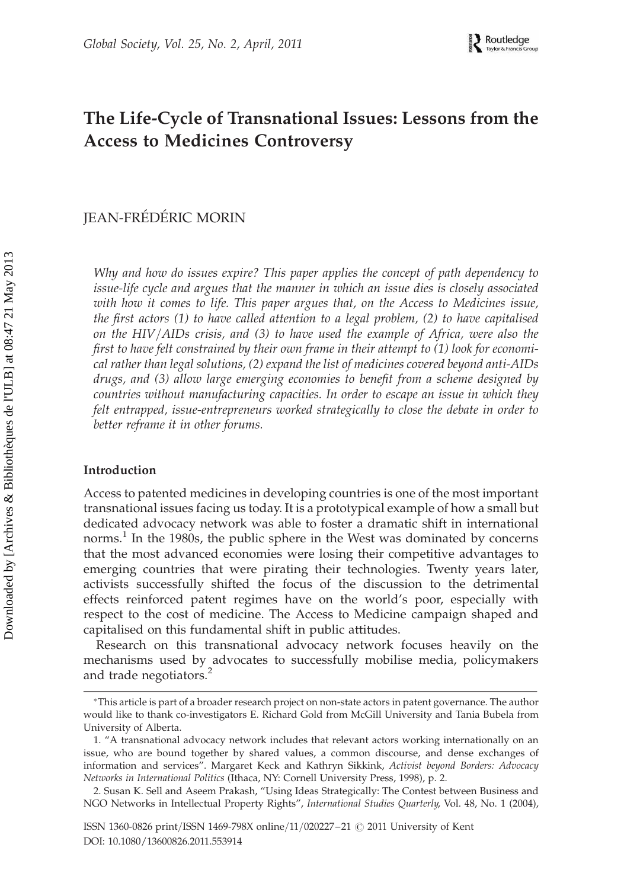# The Life-Cycle of Transnational Issues: Lessons from the Access to Medicines Controversy

## **JEAN-FRÉDÉRIC MORIN**

*Why and how do issues expire? This paper applies the concept of path dependency to issue-life cycle and argues that the manner in which an issue dies is closely associated with how it comes to life. This paper argues that, on the Access to Medicines issue, the first actors (1) to have called attention to a legal problem, (2) to have capitalised on the HIV*/*AIDs crisis, and (3) to have used the example of Africa, were also the first to have felt constrained by their own frame in their attempt to (1) look for economical rather than legal solutions, (2) expand the list of medicines covered beyond anti-AIDs drugs, and (3) allow large emerging economies to benefit from a scheme designed by countries without manufacturing capacities. In order to escape an issue in which they felt entrapped, issue-entrepreneurs worked strategically to close the debate in order to better reframe it in other forums.*

#### Introduction

Access to patented medicines in developing countries is one of the most important transnational issues facing us today. It is a prototypical example of how a small but dedicated advocacy network was able to foster a dramatic shift in international norms.<sup>1</sup> In the 1980s, the public sphere in the West was dominated by concerns that the most advanced economies were losing their competitive advantages to emerging countries that were pirating their technologies. Twenty years later, activists successfully shifted the focus of the discussion to the detrimental effects reinforced patent regimes have on the world's poor, especially with respect to the cost of medicine. The Access to Medicine campaign shaped and capitalised on this fundamental shift in public attitudes.

Research on this transnational advocacy network focuses heavily on the mechanisms used by advocates to successfully mobilise media, policymakers and trade negotiators.<sup>2</sup>

<sup>∗</sup>This article is part of a broader research project on non-state actors in patent governance. The author would like to thank co-investigators E. Richard Gold from McGill University and Tania Bubela from University of Alberta.

<sup>1. &</sup>quot;A transnational advocacy network includes that relevant actors working internationally on an issue, who are bound together by shared values, a common discourse, and dense exchanges of information and services". Margaret Keck and Kathryn Sikkink, *Activist beyond Borders: Advocacy Networks in International Politics* (Ithaca, NY: Cornell University Press, 1998), p. 2.

<sup>2.</sup> Susan K. Sell and Aseem Prakash, "Using Ideas Strategically: The Contest between Business and NGO Networks in Intellectual Property Rights", *International Studies Quarterly*, Vol. 48, No. 1 (2004),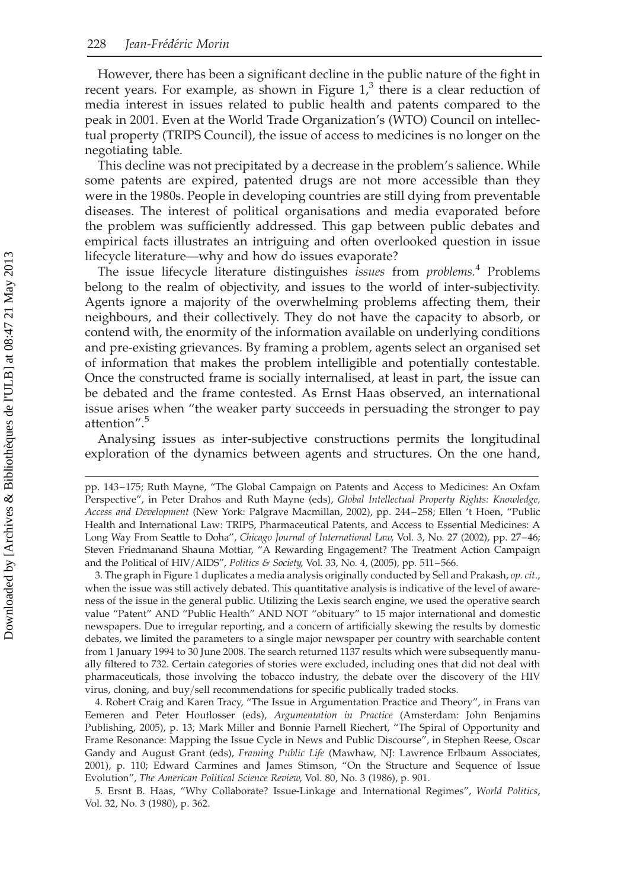However, there has been a significant decline in the public nature of the fight in recent years. For example, as shown in Figure  $1<sup>3</sup>$  there is a clear reduction of media interest in issues related to public health and patents compared to the peak in 2001. Even at the World Trade Organization's (WTO) Council on intellectual property (TRIPS Council), the issue of access to medicines is no longer on the negotiating table.

This decline was not precipitated by a decrease in the problem's salience. While some patents are expired, patented drugs are not more accessible than they were in the 1980s. People in developing countries are still dying from preventable diseases. The interest of political organisations and media evaporated before the problem was sufficiently addressed. This gap between public debates and empirical facts illustrates an intriguing and often overlooked question in issue lifecycle literature—why and how do issues evaporate?

The issue lifecycle literature distinguishes *issues* from *problems.*<sup>4</sup> Problems belong to the realm of objectivity, and issues to the world of inter-subjectivity. Agents ignore a majority of the overwhelming problems affecting them, their neighbours, and their collectively. They do not have the capacity to absorb, or contend with, the enormity of the information available on underlying conditions and pre-existing grievances. By framing a problem, agents select an organised set of information that makes the problem intelligible and potentially contestable. Once the constructed frame is socially internalised, at least in part, the issue can be debated and the frame contested. As Ernst Haas observed, an international issue arises when "the weaker party succeeds in persuading the stronger to pay attention".<sup>5</sup>

Analysing issues as inter-subjective constructions permits the longitudinal exploration of the dynamics between agents and structures. On the one hand,

3. The graph in Figure 1 duplicates a media analysis originally conducted by Sell and Prakash, *op. cit.*, when the issue was still actively debated. This quantitative analysis is indicative of the level of awareness of the issue in the general public. Utilizing the Lexis search engine, we used the operative search value "Patent" AND "Public Health" AND NOT "obituary" to 15 major international and domestic newspapers. Due to irregular reporting, and a concern of artificially skewing the results by domestic debates, we limited the parameters to a single major newspaper per country with searchable content from 1 January 1994 to 30 June 2008. The search returned 1137 results which were subsequently manually filtered to 732. Certain categories of stories were excluded, including ones that did not deal with pharmaceuticals, those involving the tobacco industry, the debate over the discovery of the HIV virus, cloning, and buy/sell recommendations for specific publically traded stocks.

4. Robert Craig and Karen Tracy, "The Issue in Argumentation Practice and Theory", in Frans van Eemeren and Peter Houtlosser (eds), *Argumentation in Practice* (Amsterdam: John Benjamins Publishing, 2005), p. 13; Mark Miller and Bonnie Parnell Riechert, "The Spiral of Opportunity and Frame Resonance: Mapping the Issue Cycle in News and Public Discourse", in Stephen Reese, Oscar Gandy and August Grant (eds), *Framing Public Life* (Mawhaw, NJ: Lawrence Erlbaum Associates, 2001), p. 110; Edward Carmines and James Stimson, "On the Structure and Sequence of Issue Evolution", *The American Political Science Review*, Vol. 80, No. 3 (1986), p. 901.

5. Ersnt B. Haas, "Why Collaborate? Issue-Linkage and International Regimes", *World Politics*, Vol. 32, No. 3 (1980), p. 362.

pp. 143–175; Ruth Mayne, "The Global Campaign on Patents and Access to Medicines: An Oxfam Perspective", in Peter Drahos and Ruth Mayne (eds), *Global Intellectual Property Rights: Knowledge, Access and Development* (New York: Palgrave Macmillan, 2002), pp. 244–258; Ellen 't Hoen, "Public Health and International Law: TRIPS, Pharmaceutical Patents, and Access to Essential Medicines: A Long Way From Seattle to Doha", *Chicago Journal of International Law*, Vol. 3, No. 27 (2002), pp. 27–46; Steven Friedmanand Shauna Mottiar, "A Rewarding Engagement? The Treatment Action Campaign and the Political of HIV/AIDS", *Politics & Society*, Vol. 33, No. 4, (2005), pp. 511–566.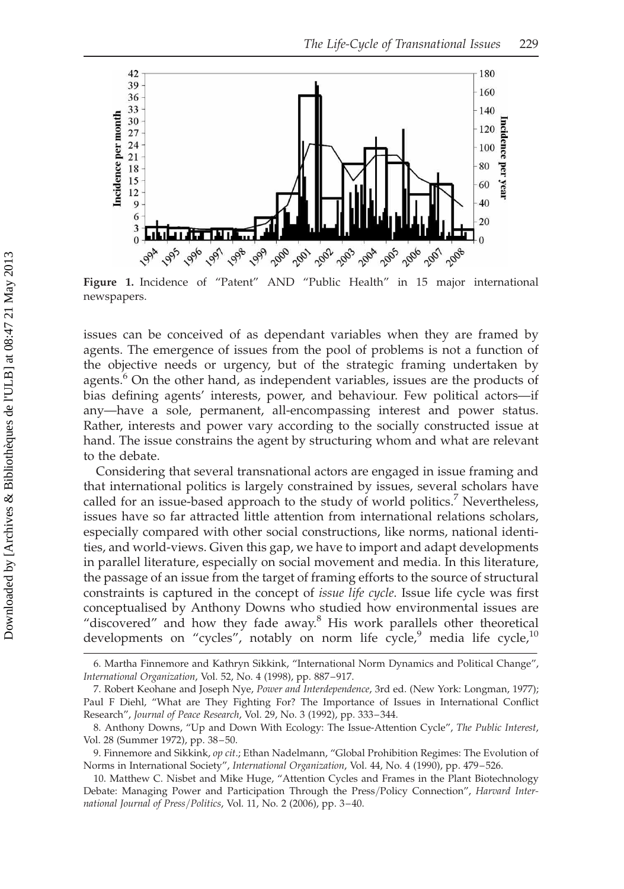

Figure 1. Incidence of "Patent" AND "Public Health" in 15 major international newspapers.

issues can be conceived of as dependant variables when they are framed by agents. The emergence of issues from the pool of problems is not a function of the objective needs or urgency, but of the strategic framing undertaken by agents.<sup>6</sup> On the other hand, as independent variables, issues are the products of bias defining agents' interests, power, and behaviour. Few political actors—if any—have a sole, permanent, all-encompassing interest and power status. Rather, interests and power vary according to the socially constructed issue at hand. The issue constrains the agent by structuring whom and what are relevant to the debate.

Considering that several transnational actors are engaged in issue framing and that international politics is largely constrained by issues, several scholars have called for an issue-based approach to the study of world politics.<sup>7</sup> Nevertheless, issues have so far attracted little attention from international relations scholars, especially compared with other social constructions, like norms, national identities, and world-views. Given this gap, we have to import and adapt developments in parallel literature, especially on social movement and media. In this literature, the passage of an issue from the target of framing efforts to the source of structural constraints is captured in the concept of *issue life cycle*. Issue life cycle was first conceptualised by Anthony Downs who studied how environmental issues are "discovered" and how they fade away.<sup>8</sup> His work parallels other theoretical developments on "cycles", notably on norm life cycle, $9$  media life cycle, $10$ 

<sup>6.</sup> Martha Finnemore and Kathryn Sikkink, "International Norm Dynamics and Political Change", *International Organization*, Vol. 52, No. 4 (1998), pp. 887–917.

<sup>7.</sup> Robert Keohane and Joseph Nye, *Power and Interdependence*, 3rd ed. (New York: Longman, 1977); Paul F Diehl, "What are They Fighting For? The Importance of Issues in International Conflict Research", *Journal of Peace Research*, Vol. 29, No. 3 (1992), pp. 333– 344.

<sup>8.</sup> Anthony Downs, "Up and Down With Ecology: The Issue-Attention Cycle", *The Public Interest*, Vol. 28 (Summer 1972), pp. 38–50.

<sup>9.</sup> Finnemore and Sikkink, *op cit*.; Ethan Nadelmann, "Global Prohibition Regimes: The Evolution of Norms in International Society", *International Organization*, Vol. 44, No. 4 (1990), pp. 479– 526.

<sup>10.</sup> Matthew C. Nisbet and Mike Huge, "Attention Cycles and Frames in the Plant Biotechnology Debate: Managing Power and Participation Through the Press/Policy Connection", *Harvard International Journal of Press*/*Politics*, Vol. 11, No. 2 (2006), pp. 3– 40.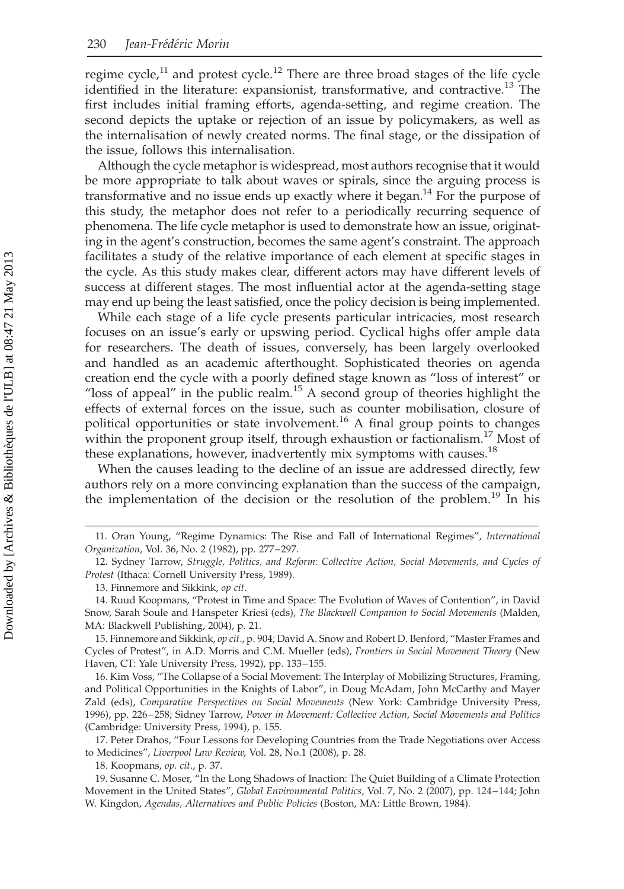regime cycle, $^{11}$  and protest cycle.<sup>12</sup> There are three broad stages of the life cycle identified in the literature: expansionist, transformative, and contractive.<sup>13</sup> The first includes initial framing efforts, agenda-setting, and regime creation. The second depicts the uptake or rejection of an issue by policymakers, as well as the internalisation of newly created norms. The final stage, or the dissipation of the issue, follows this internalisation.

Although the cycle metaphor is widespread, most authors recognise that it would be more appropriate to talk about waves or spirals, since the arguing process is transformative and no issue ends up exactly where it began.<sup>14</sup> For the purpose of this study, the metaphor does not refer to a periodically recurring sequence of phenomena. The life cycle metaphor is used to demonstrate how an issue, originating in the agent's construction, becomes the same agent's constraint. The approach facilitates a study of the relative importance of each element at specific stages in the cycle. As this study makes clear, different actors may have different levels of success at different stages. The most influential actor at the agenda-setting stage may end up being the least satisfied, once the policy decision is being implemented.

While each stage of a life cycle presents particular intricacies, most research focuses on an issue's early or upswing period. Cyclical highs offer ample data for researchers. The death of issues, conversely, has been largely overlooked and handled as an academic afterthought. Sophisticated theories on agenda creation end the cycle with a poorly defined stage known as "loss of interest" or "loss of appeal" in the public realm.<sup>15</sup> A second group of theories highlight the effects of external forces on the issue, such as counter mobilisation, closure of political opportunities or state involvement.<sup>16</sup> A final group points to changes within the proponent group itself, through exhaustion or factionalism.<sup>17</sup> Most of these explanations, however, inadvertently mix symptoms with causes.<sup>18</sup>

When the causes leading to the decline of an issue are addressed directly, few authors rely on a more convincing explanation than the success of the campaign, the implementation of the decision or the resolution of the problem.<sup>19</sup> In his

16. Kim Voss, "The Collapse of a Social Movement: The Interplay of Mobilizing Structures, Framing, and Political Opportunities in the Knights of Labor", in Doug McAdam, John McCarthy and Mayer Zald (eds), *Comparative Perspectives on Social Movements* (New York: Cambridge University Press, 1996), pp. 226 –258; Sidney Tarrow, *Power in Movement: Collective Action, Social Movements and Politics* (Cambridge: University Press, 1994), p. 155.

17. Peter Drahos, "Four Lessons for Developing Countries from the Trade Negotiations over Access to Medicines", *Liverpool Law Review*, Vol. 28, No.1 (2008), p. 28.

<sup>11.</sup> Oran Young, "Regime Dynamics: The Rise and Fall of International Regimes", *International Organization*, Vol. 36, No. 2 (1982), pp. 277–297.

<sup>12.</sup> Sydney Tarrow, *Struggle, Politics, and Reform: Collective Action, Social Movements, and Cycles of Protest* (Ithaca: Cornell University Press, 1989).

<sup>13.</sup> Finnemore and Sikkink, *op cit*.

<sup>14.</sup> Ruud Koopmans, "Protest in Time and Space: The Evolution of Waves of Contention", in David Snow, Sarah Soule and Hanspeter Kriesi (eds), *The Blackwell Companion to Social Movements* (Malden, MA: Blackwell Publishing, 2004), p. 21.

<sup>15.</sup> Finnemore and Sikkink, *op cit*., p. 904; David A. Snow and Robert D. Benford, "Master Frames and Cycles of Protest", in A.D. Morris and C.M. Mueller (eds), *Frontiers in Social Movement Theory* (New Haven, CT: Yale University Press, 1992), pp. 133-155.

<sup>18.</sup> Koopmans, *op. cit*., p. 37.

<sup>19.</sup> Susanne C. Moser, "In the Long Shadows of Inaction: The Quiet Building of a Climate Protection Movement in the United States", *Global Environmental Politics*, Vol. 7, No. 2 (2007), pp. 124 –144; John W. Kingdon, *Agendas, Alternatives and Public Policies* (Boston, MA: Little Brown, 1984).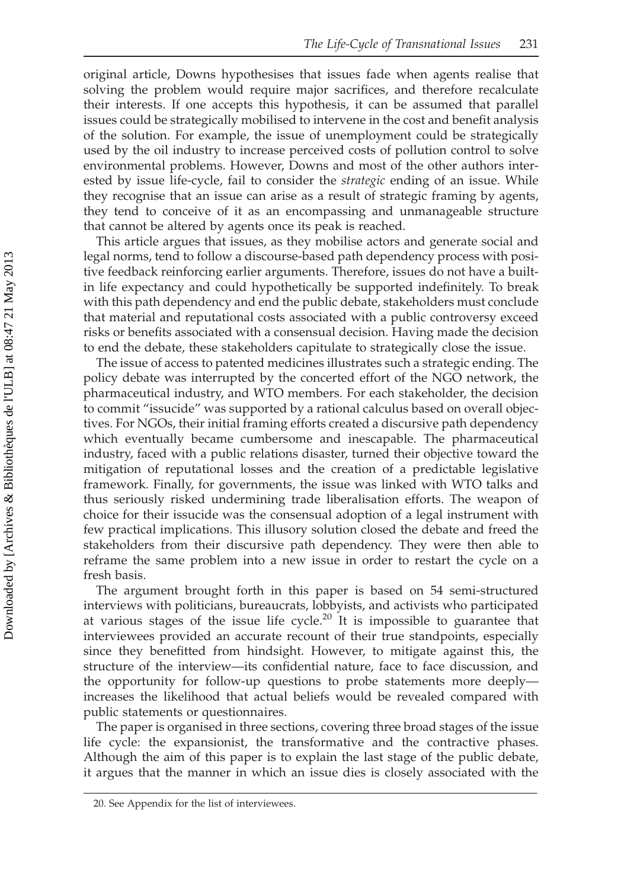original article, Downs hypothesises that issues fade when agents realise that solving the problem would require major sacrifices, and therefore recalculate their interests. If one accepts this hypothesis, it can be assumed that parallel issues could be strategically mobilised to intervene in the cost and benefit analysis of the solution. For example, the issue of unemployment could be strategically used by the oil industry to increase perceived costs of pollution control to solve environmental problems. However, Downs and most of the other authors interested by issue life-cycle, fail to consider the *strategic* ending of an issue. While they recognise that an issue can arise as a result of strategic framing by agents, they tend to conceive of it as an encompassing and unmanageable structure that cannot be altered by agents once its peak is reached.

This article argues that issues, as they mobilise actors and generate social and legal norms, tend to follow a discourse-based path dependency process with positive feedback reinforcing earlier arguments. Therefore, issues do not have a builtin life expectancy and could hypothetically be supported indefinitely. To break with this path dependency and end the public debate, stakeholders must conclude that material and reputational costs associated with a public controversy exceed risks or benefits associated with a consensual decision. Having made the decision to end the debate, these stakeholders capitulate to strategically close the issue.

The issue of access to patented medicines illustrates such a strategic ending. The policy debate was interrupted by the concerted effort of the NGO network, the pharmaceutical industry, and WTO members. For each stakeholder, the decision to commit "issucide" was supported by a rational calculus based on overall objectives. For NGOs, their initial framing efforts created a discursive path dependency which eventually became cumbersome and inescapable. The pharmaceutical industry, faced with a public relations disaster, turned their objective toward the mitigation of reputational losses and the creation of a predictable legislative framework. Finally, for governments, the issue was linked with WTO talks and thus seriously risked undermining trade liberalisation efforts. The weapon of choice for their issucide was the consensual adoption of a legal instrument with few practical implications. This illusory solution closed the debate and freed the stakeholders from their discursive path dependency. They were then able to reframe the same problem into a new issue in order to restart the cycle on a fresh basis.

The argument brought forth in this paper is based on 54 semi-structured interviews with politicians, bureaucrats, lobbyists, and activists who participated at various stages of the issue life cycle.<sup>20</sup> It is impossible to guarantee that interviewees provided an accurate recount of their true standpoints, especially since they benefitted from hindsight. However, to mitigate against this, the structure of the interview—its confidential nature, face to face discussion, and the opportunity for follow-up questions to probe statements more deeply increases the likelihood that actual beliefs would be revealed compared with public statements or questionnaires.

The paper is organised in three sections, covering three broad stages of the issue life cycle: the expansionist, the transformative and the contractive phases. Although the aim of this paper is to explain the last stage of the public debate, it argues that the manner in which an issue dies is closely associated with the

<sup>20.</sup> See Appendix for the list of interviewees.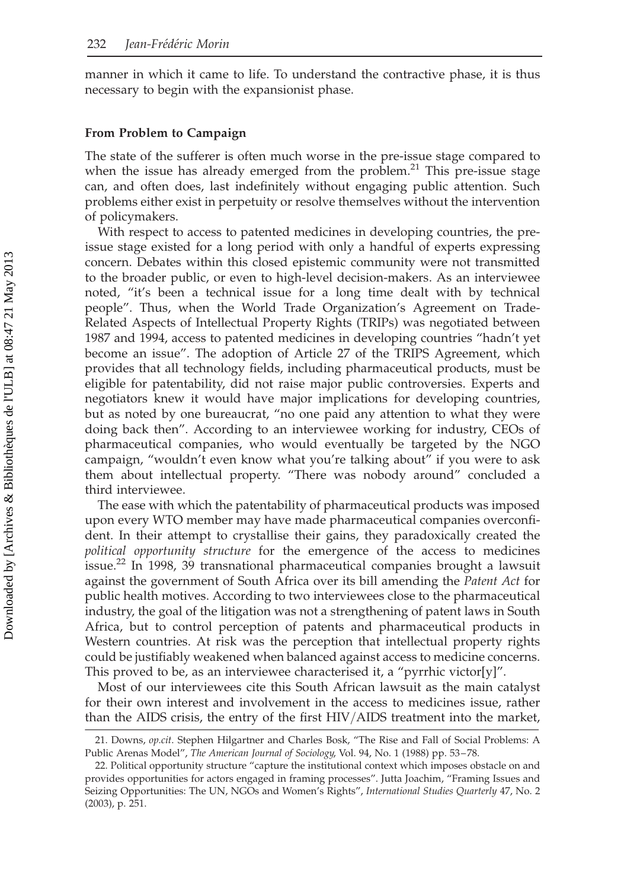manner in which it came to life. To understand the contractive phase, it is thus necessary to begin with the expansionist phase.

#### From Problem to Campaign

The state of the sufferer is often much worse in the pre-issue stage compared to when the issue has already emerged from the problem.<sup>21</sup> This pre-issue stage can, and often does, last indefinitely without engaging public attention. Such problems either exist in perpetuity or resolve themselves without the intervention of policymakers.

With respect to access to patented medicines in developing countries, the preissue stage existed for a long period with only a handful of experts expressing concern. Debates within this closed epistemic community were not transmitted to the broader public, or even to high-level decision-makers. As an interviewee noted, "it's been a technical issue for a long time dealt with by technical people". Thus, when the World Trade Organization's Agreement on Trade-Related Aspects of Intellectual Property Rights (TRIPs) was negotiated between 1987 and 1994, access to patented medicines in developing countries "hadn't yet become an issue". The adoption of Article 27 of the TRIPS Agreement, which provides that all technology fields, including pharmaceutical products, must be eligible for patentability, did not raise major public controversies. Experts and negotiators knew it would have major implications for developing countries, but as noted by one bureaucrat, "no one paid any attention to what they were doing back then". According to an interviewee working for industry, CEOs of pharmaceutical companies, who would eventually be targeted by the NGO campaign, "wouldn't even know what you're talking about" if you were to ask them about intellectual property. "There was nobody around" concluded a third interviewee.

The ease with which the patentability of pharmaceutical products was imposed upon every WTO member may have made pharmaceutical companies overconfident. In their attempt to crystallise their gains, they paradoxically created the *political opportunity structure* for the emergence of the access to medicines issue.<sup>22</sup> In 1998, 39 transnational pharmaceutical companies brought a lawsuit against the government of South Africa over its bill amending the *Patent Act* for public health motives. According to two interviewees close to the pharmaceutical industry, the goal of the litigation was not a strengthening of patent laws in South Africa, but to control perception of patents and pharmaceutical products in Western countries. At risk was the perception that intellectual property rights could be justifiably weakened when balanced against access to medicine concerns. This proved to be, as an interviewee characterised it, a "pyrrhic victor[y]".

Most of our interviewees cite this South African lawsuit as the main catalyst for their own interest and involvement in the access to medicines issue, rather than the AIDS crisis, the entry of the first HIV/AIDS treatment into the market,

<sup>21.</sup> Downs, *op.cit*. Stephen Hilgartner and Charles Bosk, "The Rise and Fall of Social Problems: A Public Arenas Model", *The American Journal of Sociology*, Vol. 94, No. 1 (1988) pp. 53-78.

<sup>22.</sup> Political opportunity structure "capture the institutional context which imposes obstacle on and provides opportunities for actors engaged in framing processes". Jutta Joachim, "Framing Issues and Seizing Opportunities: The UN, NGOs and Women's Rights", *International Studies Quarterly* 47, No. 2 (2003), p. 251.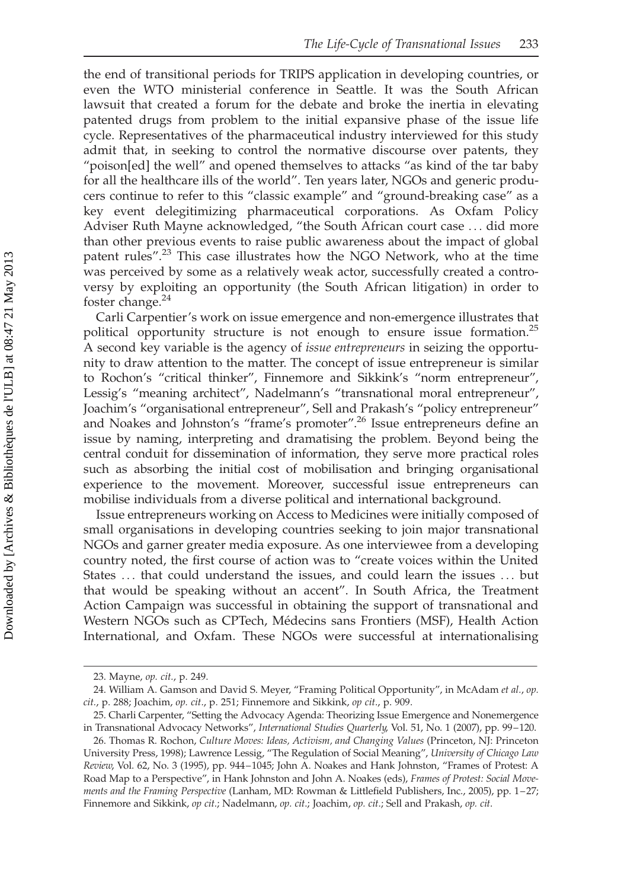the end of transitional periods for TRIPS application in developing countries, or even the WTO ministerial conference in Seattle. It was the South African lawsuit that created a forum for the debate and broke the inertia in elevating patented drugs from problem to the initial expansive phase of the issue life cycle. Representatives of the pharmaceutical industry interviewed for this study admit that, in seeking to control the normative discourse over patents, they "poison[ed] the well" and opened themselves to attacks "as kind of the tar baby for all the healthcare ills of the world". Ten years later, NGOs and generic producers continue to refer to this "classic example" and "ground-breaking case" as a key event delegitimizing pharmaceutical corporations. As Oxfam Policy Adviser Ruth Mayne acknowledged, "the South African court case ... did more than other previous events to raise public awareness about the impact of global patent rules".<sup>23</sup> This case illustrates how the NGO Network, who at the time was perceived by some as a relatively weak actor, successfully created a controversy by exploiting an opportunity (the South African litigation) in order to foster change.<sup>24</sup>

Carli Carpentier's work on issue emergence and non-emergence illustrates that political opportunity structure is not enough to ensure issue formation.<sup>25</sup> A second key variable is the agency of *issue entrepreneurs* in seizing the opportunity to draw attention to the matter. The concept of issue entrepreneur is similar to Rochon's "critical thinker", Finnemore and Sikkink's "norm entrepreneur", Lessig's "meaning architect", Nadelmann's "transnational moral entrepreneur", Joachim's "organisational entrepreneur", Sell and Prakash's "policy entrepreneur" and Noakes and Johnston's "frame's promoter".<sup>26</sup> Issue entrepreneurs define an issue by naming, interpreting and dramatising the problem. Beyond being the central conduit for dissemination of information, they serve more practical roles such as absorbing the initial cost of mobilisation and bringing organisational experience to the movement. Moreover, successful issue entrepreneurs can mobilise individuals from a diverse political and international background.

Issue entrepreneurs working on Access to Medicines were initially composed of small organisations in developing countries seeking to join major transnational NGOs and garner greater media exposure. As one interviewee from a developing country noted, the first course of action was to "create voices within the United States ... that could understand the issues, and could learn the issues ... but that would be speaking without an accent". In South Africa, the Treatment Action Campaign was successful in obtaining the support of transnational and Western NGOs such as CPTech, Médecins sans Frontiers (MSF), Health Action International, and Oxfam. These NGOs were successful at internationalising

<sup>23.</sup> Mayne, *op. cit.*, p. 249.

<sup>24.</sup> William A. Gamson and David S. Meyer, "Framing Political Opportunity", in McAdam *et al.*, *op. cit.*, p. 288; Joachim, *op. cit*., p. 251; Finnemore and Sikkink, *op cit*., p. 909.

<sup>25.</sup> Charli Carpenter, "Setting the Advocacy Agenda: Theorizing Issue Emergence and Nonemergence in Transnational Advocacy Networks", *International Studies Quarterly*, Vol. 51, No. 1 (2007), pp. 99–120.

<sup>26.</sup> Thomas R. Rochon, *Culture Moves: Ideas, Activism, and Changing Values* (Princeton, NJ: Princeton University Press, 1998); Lawrence Lessig, "The Regulation of Social Meaning", *University of Chicago Law Review*, Vol. 62, No. 3 (1995), pp. 944–1045; John A. Noakes and Hank Johnston, "Frames of Protest: A Road Map to a Perspective", in Hank Johnston and John A. Noakes (eds), *Frames of Protest: Social Movements and the Framing Perspective* (Lanham, MD: Rowman & Littlefield Publishers, Inc., 2005), pp. 1–27; Finnemore and Sikkink, *op cit*.; Nadelmann, *op. cit*.; Joachim, *op. cit*.; Sell and Prakash, *op. cit*.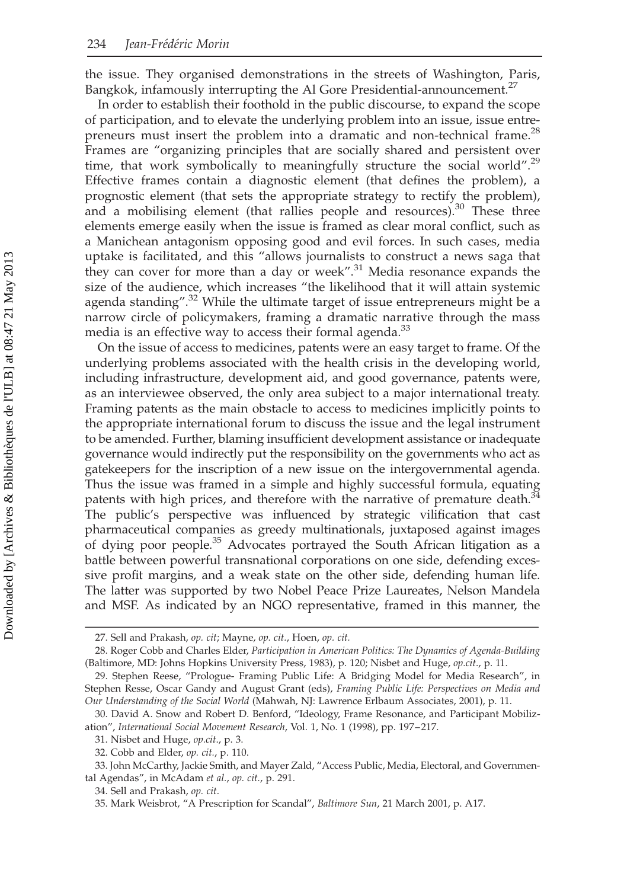the issue. They organised demonstrations in the streets of Washington, Paris, Bangkok, infamously interrupting the Al Gore Presidential-announcement.<sup>27</sup>

In order to establish their foothold in the public discourse, to expand the scope of participation, and to elevate the underlying problem into an issue, issue entrepreneurs must insert the problem into a dramatic and non-technical frame.<sup>28</sup> Frames are "organizing principles that are socially shared and persistent over time, that work symbolically to meaningfully structure the social world".<sup>29</sup> Effective frames contain a diagnostic element (that defines the problem), a prognostic element (that sets the appropriate strategy to rectify the problem), and a mobilising element (that rallies people and resources).<sup>30</sup> These three elements emerge easily when the issue is framed as clear moral conflict, such as a Manichean antagonism opposing good and evil forces. In such cases, media uptake is facilitated, and this "allows journalists to construct a news saga that they can cover for more than a day or week".<sup>31</sup> Media resonance expands the size of the audience, which increases "the likelihood that it will attain systemic agenda standing". $32$  While the ultimate target of issue entrepreneurs might be a narrow circle of policymakers, framing a dramatic narrative through the mass media is an effective way to access their formal agenda.<sup>33</sup>

On the issue of access to medicines, patents were an easy target to frame. Of the underlying problems associated with the health crisis in the developing world, including infrastructure, development aid, and good governance, patents were, as an interviewee observed, the only area subject to a major international treaty. Framing patents as the main obstacle to access to medicines implicitly points to the appropriate international forum to discuss the issue and the legal instrument to be amended. Further, blaming insufficient development assistance or inadequate governance would indirectly put the responsibility on the governments who act as gatekeepers for the inscription of a new issue on the intergovernmental agenda. Thus the issue was framed in a simple and highly successful formula, equating patents with high prices, and therefore with the narrative of premature death.<sup>34</sup> The public's perspective was influenced by strategic vilification that cast pharmaceutical companies as greedy multinationals, juxtaposed against images of dying poor people.<sup>35</sup> Advocates portrayed the South African litigation as a battle between powerful transnational corporations on one side, defending excessive profit margins, and a weak state on the other side, defending human life. The latter was supported by two Nobel Peace Prize Laureates, Nelson Mandela and MSF. As indicated by an NGO representative, framed in this manner, the

<sup>27.</sup> Sell and Prakash, *op. cit*; Mayne, *op. cit.*, Hoen, *op. cit.*

<sup>28.</sup> Roger Cobb and Charles Elder, *Participation in American Politics: The Dynamics of Agenda-Building* (Baltimore, MD: Johns Hopkins University Press, 1983), p. 120; Nisbet and Huge, *op.cit*., p. 11.

<sup>29.</sup> Stephen Reese, "Prologue- Framing Public Life: A Bridging Model for Media Research", in Stephen Resse, Oscar Gandy and August Grant (eds), *Framing Public Life: Perspectives on Media and Our Understanding of the Social World* (Mahwah, NJ: Lawrence Erlbaum Associates, 2001), p. 11.

<sup>30.</sup> David A. Snow and Robert D. Benford, "Ideology, Frame Resonance, and Participant Mobilization", *International Social Movement Research*, Vol. 1, No. 1 (1998), pp. 197-217.

<sup>31.</sup> Nisbet and Huge, *op.cit*., p. 3.

<sup>32.</sup> Cobb and Elder, *op. cit.*, p. 110.

<sup>33.</sup> John McCarthy, Jackie Smith, and Mayer Zald, "Access Public, Media, Electoral, and Governmental Agendas", in McAdam *et al.*, *op. cit.*, p. 291.

<sup>34.</sup> Sell and Prakash, *op. cit*.

<sup>35.</sup> Mark Weisbrot, "A Prescription for Scandal", *Baltimore Sun*, 21 March 2001, p. A17.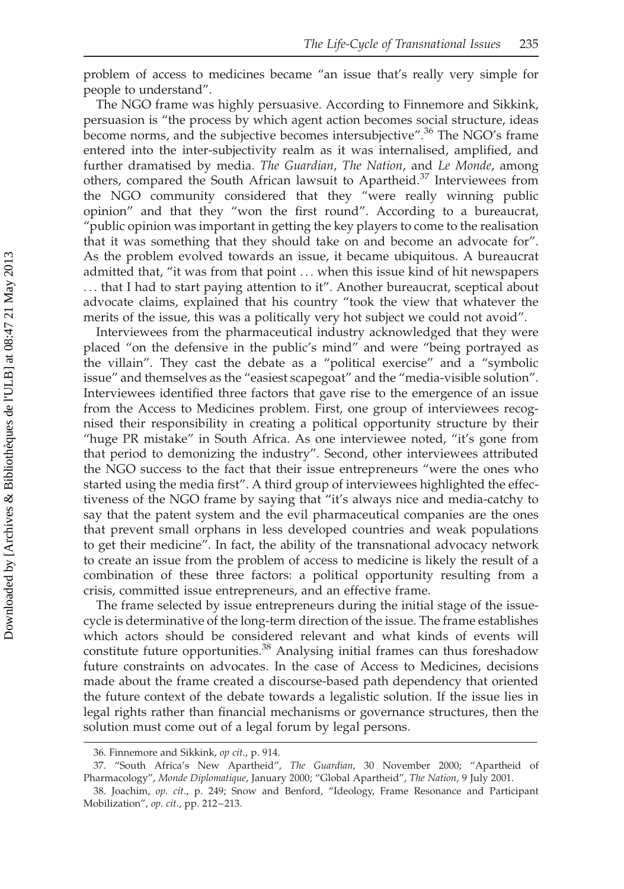problem of access to medicines became "an issue that's really very simple for people to understand".

The NGO frame was highly persuasive. According to Finnemore and Sikkink, persuasion is "the process by which agent action becomes social structure, ideas become norms, and the subjective becomes intersubjective".<sup>36</sup> The NGO's frame entered into the inter-subjectivity realm as it was internalised, amplified, and further dramatised by media. *The Guardian*, *The Nation*, and *Le Monde*, among others, compared the South African lawsuit to Apartheid.<sup>37</sup> Interviewees from the NGO community considered that they "were really winning public opinion" and that they "won the first round". According to a bureaucrat, "public opinion was important in getting the key players to come to the realisation that it was something that they should take on and become an advocate for". As the problem evolved towards an issue, it became ubiquitous. A bureaucrat admitted that, "it was from that point ... when this issue kind of hit newspapers ... that I had to start paying attention to it". Another bureaucrat, sceptical about advocate claims, explained that his country "took the view that whatever the merits of the issue, this was a politically very hot subject we could not avoid".

Interviewees from the pharmaceutical industry acknowledged that they were placed "on the defensive in the public's mind" and were "being portrayed as the villain". They cast the debate as a "political exercise" and a "symbolic issue" and themselves as the "easiest scapegoat" and the "media-visible solution". Interviewees identified three factors that gave rise to the emergence of an issue from the Access to Medicines problem. First, one group of interviewees recognised their responsibility in creating a political opportunity structure by their "huge PR mistake" in South Africa. As one interviewee noted, "it's gone from that period to demonizing the industry". Second, other interviewees attributed the NGO success to the fact that their issue entrepreneurs "were the ones who started using the media first". A third group of interviewees highlighted the effectiveness of the NGO frame by saying that "it's always nice and media-catchy to say that the patent system and the evil pharmaceutical companies are the ones that prevent small orphans in less developed countries and weak populations to get their medicine". In fact, the ability of the transnational advocacy network to create an issue from the problem of access to medicine is likely the result of a combination of these three factors: a political opportunity resulting from a crisis, committed issue entrepreneurs, and an effective frame.

The frame selected by issue entrepreneurs during the initial stage of the issuecycle is determinative of the long-term direction of the issue. The frame establishes which actors should be considered relevant and what kinds of events will constitute future opportunities.<sup>38</sup> Analysing initial frames can thus foreshadow future constraints on advocates. In the case of Access to Medicines, decisions made about the frame created a discourse-based path dependency that oriented the future context of the debate towards a legalistic solution. If the issue lies in legal rights rather than financial mechanisms or governance structures, then the solution must come out of a legal forum by legal persons.

<sup>36.</sup> Finnemore and Sikkink, *op cit*., p. 914.

<sup>37. &</sup>quot;South Africa's New Apartheid", *The Guardian*, 30 November 2000; "Apartheid of Pharmacology", *Monde Diplomatique*, January 2000; "Global Apartheid", *The Nation*, 9 July 2001.

<sup>38.</sup> Joachim, *op. cit*., p. 249; Snow and Benford, "Ideology, Frame Resonance and Participant Mobilization", *op. cit*., pp. 212– 213.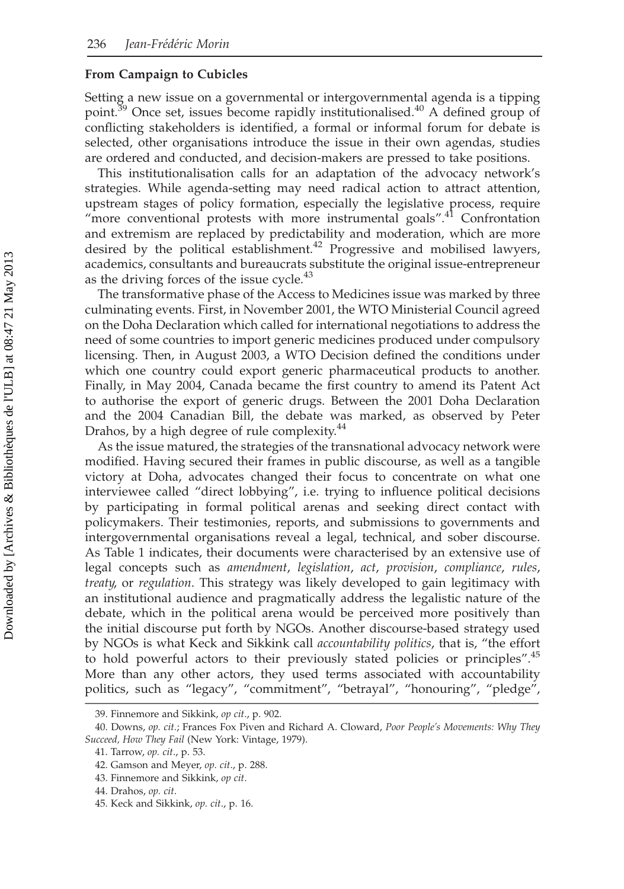#### From Campaign to Cubicles

Setting a new issue on a governmental or intergovernmental agenda is a tipping point.<sup>39</sup> Once set, issues become rapidly institutionalised.<sup>40</sup> A defined group of conflicting stakeholders is identified, a formal or informal forum for debate is selected, other organisations introduce the issue in their own agendas, studies are ordered and conducted, and decision-makers are pressed to take positions.

This institutionalisation calls for an adaptation of the advocacy network's strategies. While agenda-setting may need radical action to attract attention, upstream stages of policy formation, especially the legislative process, require "more conventional protests with more instrumental goals".<sup>41</sup> Confrontation and extremism are replaced by predictability and moderation, which are more desired by the political establishment.<sup>42</sup> Progressive and mobilised lawyers, academics, consultants and bureaucrats substitute the original issue-entrepreneur as the driving forces of the issue cycle. $43$ 

The transformative phase of the Access to Medicines issue was marked by three culminating events. First, in November 2001, the WTO Ministerial Council agreed on the Doha Declaration which called for international negotiations to address the need of some countries to import generic medicines produced under compulsory licensing. Then, in August 2003, a WTO Decision defined the conditions under which one country could export generic pharmaceutical products to another. Finally, in May 2004, Canada became the first country to amend its Patent Act to authorise the export of generic drugs. Between the 2001 Doha Declaration and the 2004 Canadian Bill, the debate was marked, as observed by Peter Drahos, by a high degree of rule complexity.<sup>44</sup>

As the issue matured, the strategies of the transnational advocacy network were modified. Having secured their frames in public discourse, as well as a tangible victory at Doha, advocates changed their focus to concentrate on what one interviewee called "direct lobbying", i.e. trying to influence political decisions by participating in formal political arenas and seeking direct contact with policymakers. Their testimonies, reports, and submissions to governments and intergovernmental organisations reveal a legal, technical, and sober discourse. As Table 1 indicates, their documents were characterised by an extensive use of legal concepts such as *amendment*, *legislation*, *act*, *provision*, *compliance*, *rules*, *treaty*, or *regulation*. This strategy was likely developed to gain legitimacy with an institutional audience and pragmatically address the legalistic nature of the debate, which in the political arena would be perceived more positively than the initial discourse put forth by NGOs. Another discourse-based strategy used by NGOs is what Keck and Sikkink call *accountability politics*, that is, "the effort to hold powerful actors to their previously stated policies or principles".<sup>45</sup> More than any other actors, they used terms associated with accountability politics, such as "legacy", "commitment", "betrayal", "honouring", "pledge",

<sup>39.</sup> Finnemore and Sikkink, *op cit*., p. 902.

<sup>40.</sup> Downs, *op. cit.*; Frances Fox Piven and Richard A. Cloward, *Poor People's Movements: Why They Succeed, How They Fail* (New York: Vintage, 1979).

<sup>41.</sup> Tarrow, *op. cit*., p. 53.

<sup>42.</sup> Gamson and Meyer, *op. cit*., p. 288.

<sup>43.</sup> Finnemore and Sikkink, *op cit*.

<sup>44.</sup> Drahos, *op. cit*.

<sup>45.</sup> Keck and Sikkink, *op. cit*., p. 16.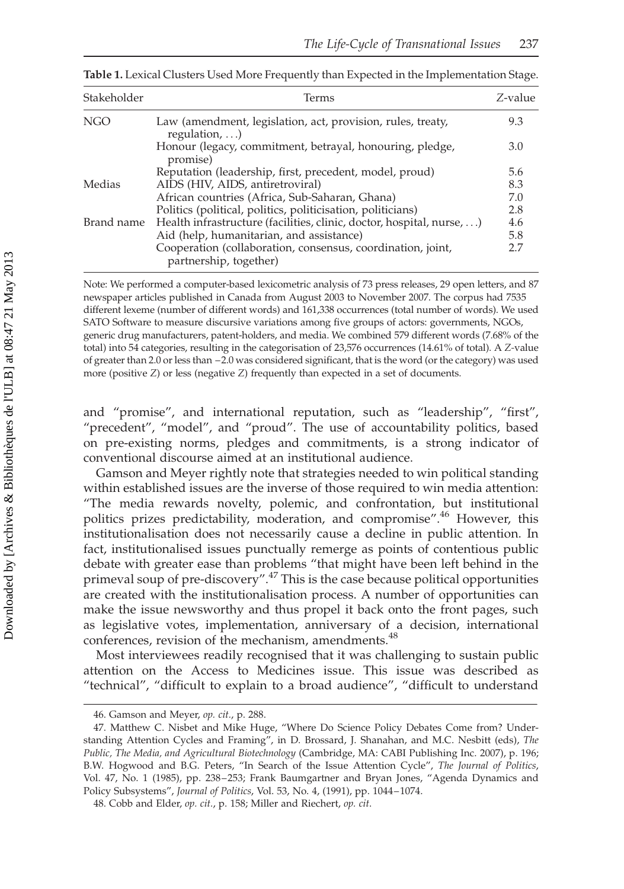| Stakeholder | Terms                                                                                 | Z-value |  |  |
|-------------|---------------------------------------------------------------------------------------|---------|--|--|
| NGO         | Law (amendment, legislation, act, provision, rules, treaty,<br>regulation, $\ldots$ ) |         |  |  |
|             | Honour (legacy, commitment, betrayal, honouring, pledge,<br>promise)                  | 3.0     |  |  |
|             | Reputation (leadership, first, precedent, model, proud)                               | 5.6     |  |  |
| Medias      | AIDS (HIV, AIDS, antiretroviral)                                                      | 8.3     |  |  |
|             | African countries (Africa, Sub-Saharan, Ghana)                                        | 7.0     |  |  |
|             | Politics (political, politics, politicisation, politicians)                           | 2.8     |  |  |
| Brand name  | Health infrastructure (facilities, clinic, doctor, hospital, nurse, )                 | 4.6     |  |  |
|             | Aid (help, humanitarian, and assistance)                                              | 5.8     |  |  |
|             | Cooperation (collaboration, consensus, coordination, joint,<br>partnership, together) | 2.7     |  |  |

Table 1. Lexical Clusters Used More Frequently than Expected in the Implementation Stage.

Note: We performed a computer-based lexicometric analysis of 73 press releases, 29 open letters, and 87 newspaper articles published in Canada from August 2003 to November 2007. The corpus had 7535 different lexeme (number of different words) and 161,338 occurrences (total number of words). We used SATO Software to measure discursive variations among five groups of actors: governments, NGOs, generic drug manufacturers, patent-holders, and media. We combined 579 different words (7.68% of the total) into 54 categories, resulting in the categorisation of 23,576 occurrences (14.61% of total). A *Z-*value of greater than 2.0 or less than –2.0 was considered significant, that is the word (or the category) was used more (positive *Z*) or less (negative *Z*) frequently than expected in a set of documents.

and "promise", and international reputation, such as "leadership", "first", "precedent", "model", and "proud". The use of accountability politics, based on pre-existing norms, pledges and commitments, is a strong indicator of conventional discourse aimed at an institutional audience.

Gamson and Meyer rightly note that strategies needed to win political standing within established issues are the inverse of those required to win media attention: "The media rewards novelty, polemic, and confrontation, but institutional politics prizes predictability, moderation, and compromise".<sup>46</sup> However, this institutionalisation does not necessarily cause a decline in public attention. In fact, institutionalised issues punctually remerge as points of contentious public debate with greater ease than problems "that might have been left behind in the primeval soup of pre-discovery".<sup>47</sup> This is the case because political opportunities are created with the institutionalisation process. A number of opportunities can make the issue newsworthy and thus propel it back onto the front pages, such as legislative votes, implementation, anniversary of a decision, international conferences, revision of the mechanism, amendments.<sup>48</sup>

Most interviewees readily recognised that it was challenging to sustain public attention on the Access to Medicines issue. This issue was described as "technical", "difficult to explain to a broad audience", "difficult to understand

<sup>46.</sup> Gamson and Meyer, *op. cit.*, p. 288.

<sup>47.</sup> Matthew C. Nisbet and Mike Huge, "Where Do Science Policy Debates Come from? Understanding Attention Cycles and Framing", in D. Brossard, J. Shanahan, and M.C. Nesbitt (eds), *The Public, The Media, and Agricultural Biotechnology* (Cambridge, MA: CABI Publishing Inc. 2007), p. 196; B.W. Hogwood and B.G. Peters, "In Search of the Issue Attention Cycle", *The Journal of Politics*, Vol. 47, No. 1 (1985), pp. 238–253; Frank Baumgartner and Bryan Jones, "Agenda Dynamics and Policy Subsystems", *Journal of Politics*, Vol. 53, No. 4, (1991), pp. 1044– 1074.

<sup>48.</sup> Cobb and Elder, *op. cit.*, p. 158; Miller and Riechert, *op. cit*.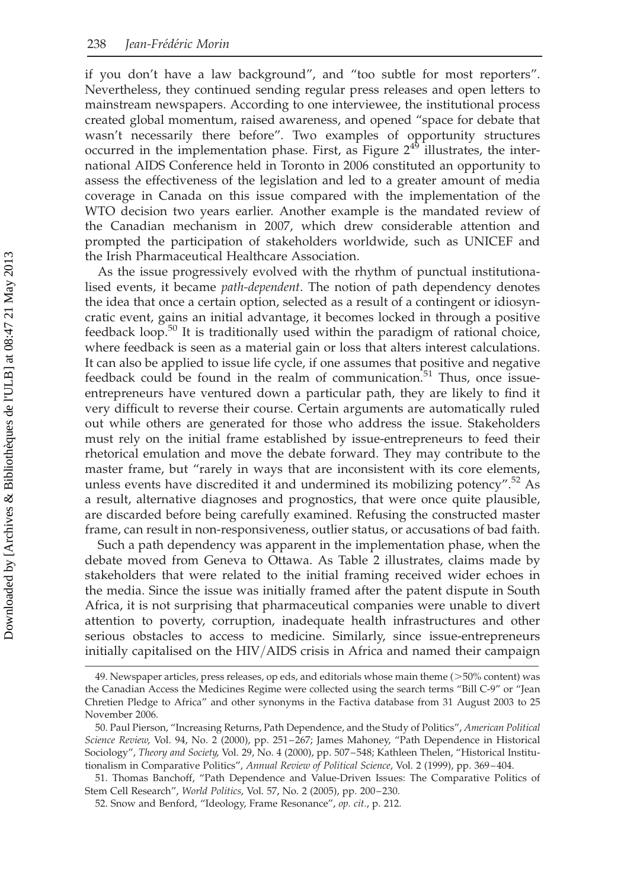if you don't have a law background", and "too subtle for most reporters". Nevertheless, they continued sending regular press releases and open letters to mainstream newspapers. According to one interviewee, the institutional process created global momentum, raised awareness, and opened "space for debate that wasn't necessarily there before". Two examples of opportunity structures occurred in the implementation phase. First, as Figure  $2^{49}$  illustrates, the international AIDS Conference held in Toronto in 2006 constituted an opportunity to assess the effectiveness of the legislation and led to a greater amount of media coverage in Canada on this issue compared with the implementation of the WTO decision two years earlier. Another example is the mandated review of the Canadian mechanism in 2007, which drew considerable attention and prompted the participation of stakeholders worldwide, such as UNICEF and the Irish Pharmaceutical Healthcare Association.

As the issue progressively evolved with the rhythm of punctual institutionalised events, it became *path-dependent*. The notion of path dependency denotes the idea that once a certain option, selected as a result of a contingent or idiosyncratic event, gains an initial advantage, it becomes locked in through a positive feedback loop.<sup>50</sup> It is traditionally used within the paradigm of rational choice, where feedback is seen as a material gain or loss that alters interest calculations. It can also be applied to issue life cycle, if one assumes that positive and negative feedback could be found in the realm of communication.<sup>51</sup> Thus, once issueentrepreneurs have ventured down a particular path, they are likely to find it very difficult to reverse their course. Certain arguments are automatically ruled out while others are generated for those who address the issue. Stakeholders must rely on the initial frame established by issue-entrepreneurs to feed their rhetorical emulation and move the debate forward. They may contribute to the master frame, but "rarely in ways that are inconsistent with its core elements, unless events have discredited it and undermined its mobilizing potency".<sup>52</sup> As a result, alternative diagnoses and prognostics, that were once quite plausible, are discarded before being carefully examined. Refusing the constructed master frame, can result in non-responsiveness, outlier status, or accusations of bad faith.

Such a path dependency was apparent in the implementation phase, when the debate moved from Geneva to Ottawa. As Table 2 illustrates, claims made by stakeholders that were related to the initial framing received wider echoes in the media. Since the issue was initially framed after the patent dispute in South Africa, it is not surprising that pharmaceutical companies were unable to divert attention to poverty, corruption, inadequate health infrastructures and other serious obstacles to access to medicine. Similarly, since issue-entrepreneurs initially capitalised on the HIV/AIDS crisis in Africa and named their campaign

<sup>49.</sup> Newspaper articles, press releases, op eds, and editorials whose main theme  $($ >50% content) was the Canadian Access the Medicines Regime were collected using the search terms "Bill C-9" or "Jean Chretien Pledge to Africa" and other synonyms in the Factiva database from 31 August 2003 to 25 November 2006.

<sup>50.</sup> Paul Pierson, "Increasing Returns, Path Dependence, and the Study of Politics", *American Political Science Review*, Vol. 94, No. 2 (2000), pp. 251– 267; James Mahoney, "Path Dependence in Historical Sociology", *Theory and Society*, Vol. 29, No. 4 (2000), pp. 507–548; Kathleen Thelen, "Historical Institutionalism in Comparative Politics", *Annual Review of Political Science*, Vol. 2 (1999), pp. 369 –404.

<sup>51.</sup> Thomas Banchoff, "Path Dependence and Value-Driven Issues: The Comparative Politics of Stem Cell Research", *World Politics*, Vol. 57, No. 2 (2005), pp. 200–230.

<sup>52.</sup> Snow and Benford, "Ideology, Frame Resonance", *op. cit.*, p. 212.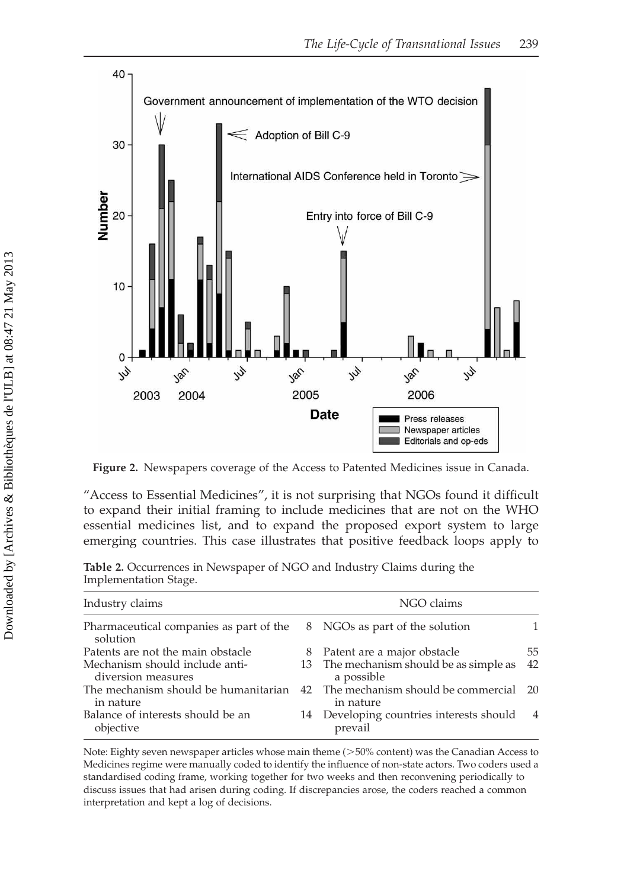

Figure 2. Newspapers coverage of the Access to Patented Medicines issue in Canada.

"Access to Essential Medicines", it is not surprising that NGOs found it difficult to expand their initial framing to include medicines that are not on the WHO essential medicines list, and to expand the proposed export system to large emerging countries. This case illustrates that positive feedback loops apply to

Table 2. Occurrences in Newspaper of NGO and Industry Claims during the Implementation Stage.

| Industry claims                                                                    | NGO claims |                                                       |                |
|------------------------------------------------------------------------------------|------------|-------------------------------------------------------|----------------|
|                                                                                    |            |                                                       |                |
| Pharmaceutical companies as part of the 8 NGOs as part of the solution<br>solution |            |                                                       |                |
| Patents are not the main obstacle                                                  | 8          | Patent are a major obstacle                           | 55             |
| Mechanism should include anti-<br>diversion measures                               |            | 13 The mechanism should be as simple as<br>a possible | 42             |
| The mechanism should be humanitarian<br>in nature                                  |            | 42 The mechanism should be commercial<br>in nature    | -20            |
| Balance of interests should be an<br>objective                                     |            | 14 Developing countries interests should<br>prevail   | $\overline{4}$ |

Note: Eighty seven newspaper articles whose main theme  $($ >50% content) was the Canadian Access to Medicines regime were manually coded to identify the influence of non-state actors. Two coders used a standardised coding frame, working together for two weeks and then reconvening periodically to discuss issues that had arisen during coding. If discrepancies arose, the coders reached a common interpretation and kept a log of decisions.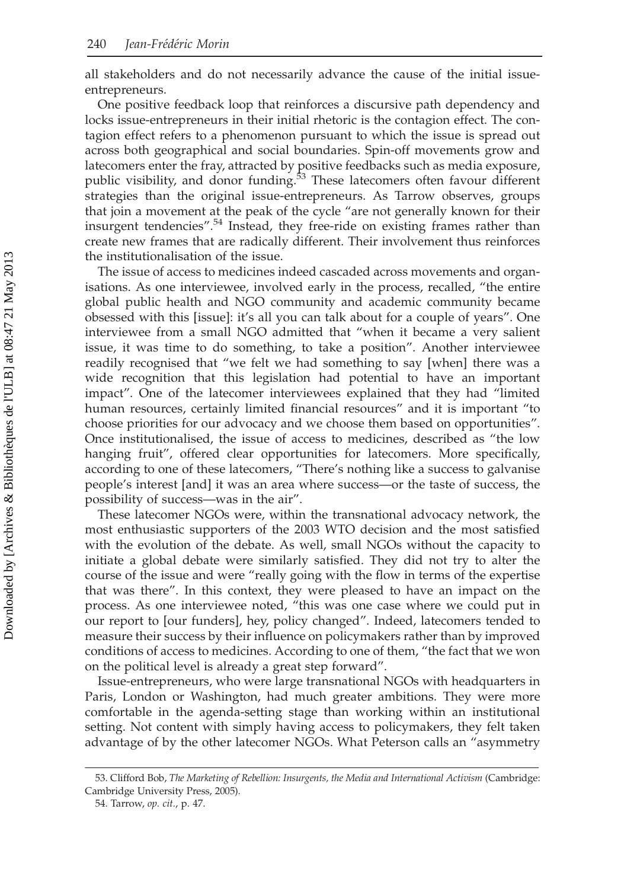all stakeholders and do not necessarily advance the cause of the initial issueentrepreneurs.

One positive feedback loop that reinforces a discursive path dependency and locks issue-entrepreneurs in their initial rhetoric is the contagion effect. The contagion effect refers to a phenomenon pursuant to which the issue is spread out across both geographical and social boundaries. Spin-off movements grow and latecomers enter the fray, attracted by positive feedbacks such as media exposure, public visibility, and donor funding.<sup>53</sup> These latecomers often favour different strategies than the original issue-entrepreneurs. As Tarrow observes, groups that join a movement at the peak of the cycle "are not generally known for their insurgent tendencies".<sup>54</sup> Instead, they free-ride on existing frames rather than create new frames that are radically different. Their involvement thus reinforces the institutionalisation of the issue.

The issue of access to medicines indeed cascaded across movements and organisations. As one interviewee, involved early in the process, recalled, "the entire global public health and NGO community and academic community became obsessed with this [issue]: it's all you can talk about for a couple of years". One interviewee from a small NGO admitted that "when it became a very salient issue, it was time to do something, to take a position". Another interviewee readily recognised that "we felt we had something to say [when] there was a wide recognition that this legislation had potential to have an important impact". One of the latecomer interviewees explained that they had "limited human resources, certainly limited financial resources" and it is important "to choose priorities for our advocacy and we choose them based on opportunities". Once institutionalised, the issue of access to medicines, described as "the low hanging fruit", offered clear opportunities for latecomers. More specifically, according to one of these latecomers, "There's nothing like a success to galvanise people's interest [and] it was an area where success—or the taste of success, the possibility of success—was in the air".

These latecomer NGOs were, within the transnational advocacy network, the most enthusiastic supporters of the 2003 WTO decision and the most satisfied with the evolution of the debate. As well, small NGOs without the capacity to initiate a global debate were similarly satisfied. They did not try to alter the course of the issue and were "really going with the flow in terms of the expertise that was there". In this context, they were pleased to have an impact on the process. As one interviewee noted, "this was one case where we could put in our report to [our funders], hey, policy changed". Indeed, latecomers tended to measure their success by their influence on policymakers rather than by improved conditions of access to medicines. According to one of them, "the fact that we won on the political level is already a great step forward".

Issue-entrepreneurs, who were large transnational NGOs with headquarters in Paris, London or Washington, had much greater ambitions. They were more comfortable in the agenda-setting stage than working within an institutional setting. Not content with simply having access to policymakers, they felt taken advantage of by the other latecomer NGOs. What Peterson calls an "asymmetry

<sup>53.</sup> Clifford Bob, *The Marketing of Rebellion: Insurgents, the Media and International Activism* (Cambridge: Cambridge University Press, 2005).

<sup>54.</sup> Tarrow, *op. cit.*, p. 47.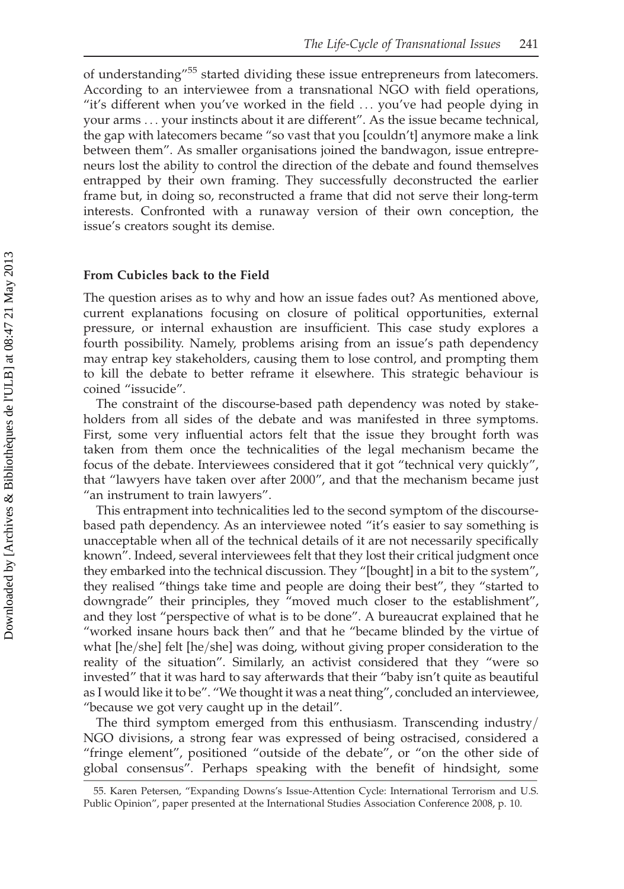of understanding"<sup>55</sup> started dividing these issue entrepreneurs from latecomers. According to an interviewee from a transnational NGO with field operations, "it's different when you've worked in the field ... you've had people dying in your arms ... your instincts about it are different". As the issue became technical, the gap with latecomers became "so vast that you [couldn't] anymore make a link between them". As smaller organisations joined the bandwagon, issue entrepreneurs lost the ability to control the direction of the debate and found themselves entrapped by their own framing. They successfully deconstructed the earlier frame but, in doing so, reconstructed a frame that did not serve their long-term interests. Confronted with a runaway version of their own conception, the issue's creators sought its demise.

#### From Cubicles back to the Field

The question arises as to why and how an issue fades out? As mentioned above, current explanations focusing on closure of political opportunities, external pressure, or internal exhaustion are insufficient. This case study explores a fourth possibility. Namely, problems arising from an issue's path dependency may entrap key stakeholders, causing them to lose control, and prompting them to kill the debate to better reframe it elsewhere. This strategic behaviour is coined "issucide".

The constraint of the discourse-based path dependency was noted by stakeholders from all sides of the debate and was manifested in three symptoms. First, some very influential actors felt that the issue they brought forth was taken from them once the technicalities of the legal mechanism became the focus of the debate. Interviewees considered that it got "technical very quickly", that "lawyers have taken over after 2000", and that the mechanism became just "an instrument to train lawyers".

This entrapment into technicalities led to the second symptom of the discoursebased path dependency. As an interviewee noted "it's easier to say something is unacceptable when all of the technical details of it are not necessarily specifically known". Indeed, several interviewees felt that they lost their critical judgment once they embarked into the technical discussion. They "[bought] in a bit to the system", they realised "things take time and people are doing their best", they "started to downgrade" their principles, they "moved much closer to the establishment", and they lost "perspective of what is to be done". A bureaucrat explained that he "worked insane hours back then" and that he "became blinded by the virtue of what [he/she] felt [he/she] was doing, without giving proper consideration to the reality of the situation". Similarly, an activist considered that they "were so invested" that it was hard to say afterwards that their "baby isn't quite as beautiful as I would like it to be". "We thought it was a neat thing", concluded an interviewee, "because we got very caught up in the detail".

The third symptom emerged from this enthusiasm. Transcending industry/ NGO divisions, a strong fear was expressed of being ostracised, considered a "fringe element", positioned "outside of the debate", or "on the other side of global consensus". Perhaps speaking with the benefit of hindsight, some

<sup>55.</sup> Karen Petersen, "Expanding Downs's Issue-Attention Cycle: International Terrorism and U.S. Public Opinion", paper presented at the International Studies Association Conference 2008, p. 10.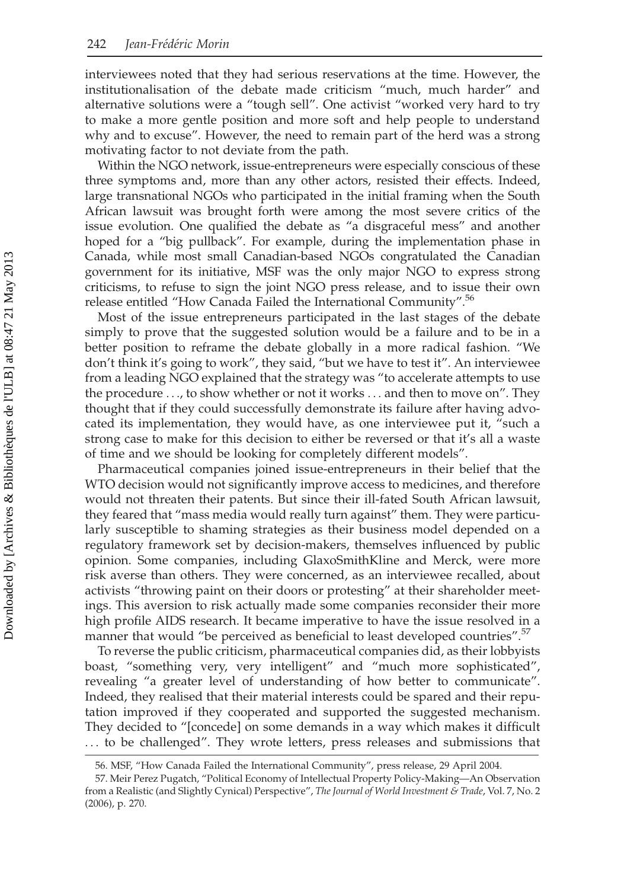interviewees noted that they had serious reservations at the time. However, the institutionalisation of the debate made criticism "much, much harder" and alternative solutions were a "tough sell". One activist "worked very hard to try to make a more gentle position and more soft and help people to understand why and to excuse". However, the need to remain part of the herd was a strong motivating factor to not deviate from the path.

Within the NGO network, issue-entrepreneurs were especially conscious of these three symptoms and, more than any other actors, resisted their effects. Indeed, large transnational NGOs who participated in the initial framing when the South African lawsuit was brought forth were among the most severe critics of the issue evolution. One qualified the debate as "a disgraceful mess" and another hoped for a "big pullback". For example, during the implementation phase in Canada, while most small Canadian-based NGOs congratulated the Canadian government for its initiative, MSF was the only major NGO to express strong criticisms, to refuse to sign the joint NGO press release, and to issue their own release entitled "How Canada Failed the International Community".<sup>56</sup>

Most of the issue entrepreneurs participated in the last stages of the debate simply to prove that the suggested solution would be a failure and to be in a better position to reframe the debate globally in a more radical fashion. "We don't think it's going to work", they said, "but we have to test it". An interviewee from a leading NGO explained that the strategy was "to accelerate attempts to use the procedure ..., to show whether or not it works ... and then to move on". They thought that if they could successfully demonstrate its failure after having advocated its implementation, they would have, as one interviewee put it, "such a strong case to make for this decision to either be reversed or that it's all a waste of time and we should be looking for completely different models".

Pharmaceutical companies joined issue-entrepreneurs in their belief that the WTO decision would not significantly improve access to medicines, and therefore would not threaten their patents. But since their ill-fated South African lawsuit, they feared that "mass media would really turn against" them. They were particularly susceptible to shaming strategies as their business model depended on a regulatory framework set by decision-makers, themselves influenced by public opinion. Some companies, including GlaxoSmithKline and Merck, were more risk averse than others. They were concerned, as an interviewee recalled, about activists "throwing paint on their doors or protesting" at their shareholder meetings. This aversion to risk actually made some companies reconsider their more high profile AIDS research. It became imperative to have the issue resolved in a manner that would "be perceived as beneficial to least developed countries".<sup>57</sup>

To reverse the public criticism, pharmaceutical companies did, as their lobbyists boast, "something very, very intelligent" and "much more sophisticated", revealing "a greater level of understanding of how better to communicate". Indeed, they realised that their material interests could be spared and their reputation improved if they cooperated and supported the suggested mechanism. They decided to "[concede] on some demands in a way which makes it difficult ... to be challenged". They wrote letters, press releases and submissions that

<sup>56.</sup> MSF, "How Canada Failed the International Community", press release, 29 April 2004.

<sup>57.</sup> Meir Perez Pugatch, "Political Economy of Intellectual Property Policy-Making—An Observation from a Realistic (and Slightly Cynical) Perspective", *The Journal of World Investment & Trade*, Vol. 7, No. 2 (2006), p. 270.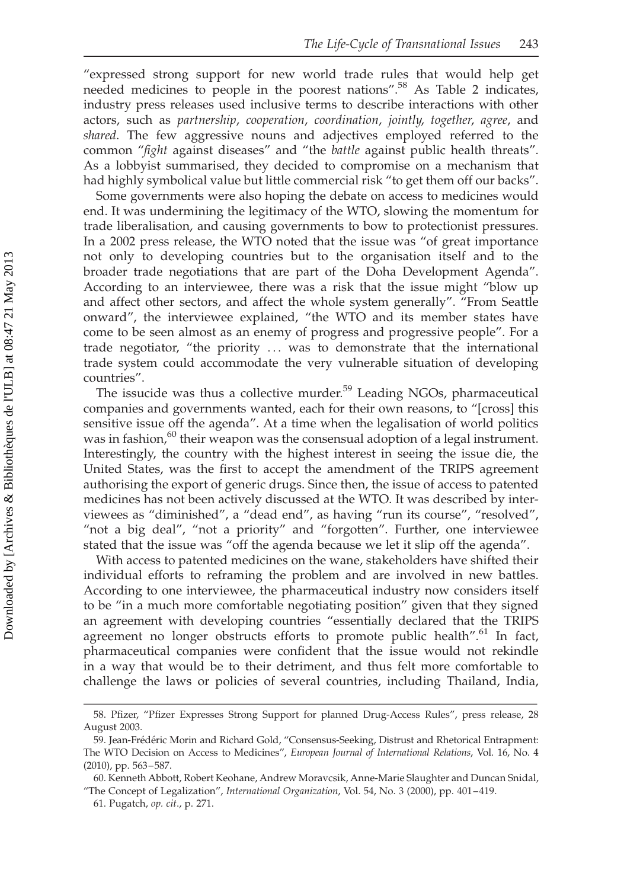"expressed strong support for new world trade rules that would help get needed medicines to people in the poorest nations".<sup>58</sup> As Table 2 indicates, industry press releases used inclusive terms to describe interactions with other actors, such as *partnership*, *cooperation*, *coordination*, *jointly*, *together*, *agree*, and *shared*. The few aggressive nouns and adjectives employed referred to the common "*fight* against diseases" and "the *battle* against public health threats". As a lobbyist summarised, they decided to compromise on a mechanism that had highly symbolical value but little commercial risk "to get them off our backs".

Some governments were also hoping the debate on access to medicines would end. It was undermining the legitimacy of the WTO, slowing the momentum for trade liberalisation, and causing governments to bow to protectionist pressures. In a 2002 press release, the WTO noted that the issue was "of great importance not only to developing countries but to the organisation itself and to the broader trade negotiations that are part of the Doha Development Agenda". According to an interviewee, there was a risk that the issue might "blow up and affect other sectors, and affect the whole system generally". "From Seattle onward", the interviewee explained, "the WTO and its member states have come to be seen almost as an enemy of progress and progressive people". For a trade negotiator, "the priority ... was to demonstrate that the international trade system could accommodate the very vulnerable situation of developing countries".

The issucide was thus a collective murder.<sup>59</sup> Leading NGOs, pharmaceutical companies and governments wanted, each for their own reasons, to "[cross] this sensitive issue off the agenda". At a time when the legalisation of world politics was in fashion, $60$  their weapon was the consensual adoption of a legal instrument. Interestingly, the country with the highest interest in seeing the issue die, the United States, was the first to accept the amendment of the TRIPS agreement authorising the export of generic drugs. Since then, the issue of access to patented medicines has not been actively discussed at the WTO. It was described by interviewees as "diminished", a "dead end", as having "run its course", "resolved", "not a big deal", "not a priority" and "forgotten". Further, one interviewee stated that the issue was "off the agenda because we let it slip off the agenda".

With access to patented medicines on the wane, stakeholders have shifted their individual efforts to reframing the problem and are involved in new battles. According to one interviewee, the pharmaceutical industry now considers itself to be "in a much more comfortable negotiating position" given that they signed an agreement with developing countries "essentially declared that the TRIPS agreement no longer obstructs efforts to promote public health".<sup>61</sup> In fact, pharmaceutical companies were confident that the issue would not rekindle in a way that would be to their detriment, and thus felt more comfortable to challenge the laws or policies of several countries, including Thailand, India,

<sup>58.</sup> Pfizer, "Pfizer Expresses Strong Support for planned Drug-Access Rules", press release, 28 August 2003.

<sup>59.</sup> Jean-Frédéric Morin and Richard Gold, "Consensus-Seeking, Distrust and Rhetorical Entrapment: The WTO Decision on Access to Medicines", *European Journal of International Relations*, Vol. 16, No. 4 (2010), pp. 563–587.

<sup>60.</sup> Kenneth Abbott, Robert Keohane, Andrew Moravcsik, Anne-Marie Slaughter and Duncan Snidal, "The Concept of Legalization", *International Organization*, Vol. 54, No. 3 (2000), pp. 401–419.

<sup>61.</sup> Pugatch, *op. cit*., p. 271.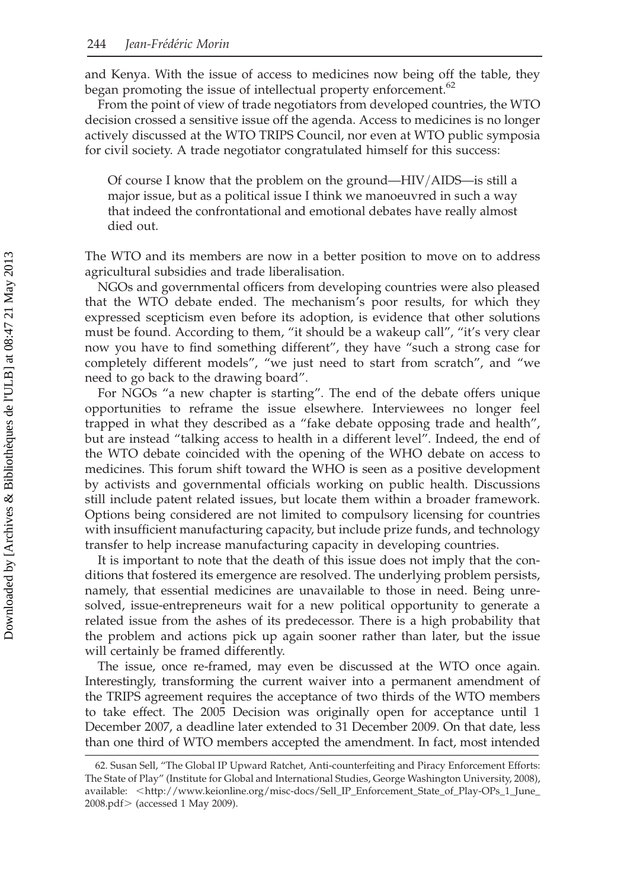and Kenya. With the issue of access to medicines now being off the table, they began promoting the issue of intellectual property enforcement.<sup>62</sup>

From the point of view of trade negotiators from developed countries, the WTO decision crossed a sensitive issue off the agenda. Access to medicines is no longer actively discussed at the WTO TRIPS Council, nor even at WTO public symposia for civil society. A trade negotiator congratulated himself for this success:

Of course I know that the problem on the ground—HIV/AIDS—is still a major issue, but as a political issue I think we manoeuvred in such a way that indeed the confrontational and emotional debates have really almost died out.

The WTO and its members are now in a better position to move on to address agricultural subsidies and trade liberalisation.

NGOs and governmental officers from developing countries were also pleased that the WTO debate ended. The mechanism's poor results, for which they expressed scepticism even before its adoption, is evidence that other solutions must be found. According to them, "it should be a wakeup call", "it's very clear now you have to find something different", they have "such a strong case for completely different models", "we just need to start from scratch", and "we need to go back to the drawing board".

For NGOs "a new chapter is starting". The end of the debate offers unique opportunities to reframe the issue elsewhere. Interviewees no longer feel trapped in what they described as a "fake debate opposing trade and health", but are instead "talking access to health in a different level". Indeed, the end of the WTO debate coincided with the opening of the WHO debate on access to medicines. This forum shift toward the WHO is seen as a positive development by activists and governmental officials working on public health. Discussions still include patent related issues, but locate them within a broader framework. Options being considered are not limited to compulsory licensing for countries with insufficient manufacturing capacity, but include prize funds, and technology transfer to help increase manufacturing capacity in developing countries.

It is important to note that the death of this issue does not imply that the conditions that fostered its emergence are resolved. The underlying problem persists, namely, that essential medicines are unavailable to those in need. Being unresolved, issue-entrepreneurs wait for a new political opportunity to generate a related issue from the ashes of its predecessor. There is a high probability that the problem and actions pick up again sooner rather than later, but the issue will certainly be framed differently.

The issue, once re-framed, may even be discussed at the WTO once again. Interestingly, transforming the current waiver into a permanent amendment of the TRIPS agreement requires the acceptance of two thirds of the WTO members to take effect. The 2005 Decision was originally open for acceptance until 1 December 2007, a deadline later extended to 31 December 2009. On that date, less than one third of WTO members accepted the amendment. In fact, most intended

<sup>62.</sup> Susan Sell, "The Global IP Upward Ratchet, Anti-counterfeiting and Piracy Enforcement Efforts: The State of Play" (Institute for Global and International Studies, George Washington University, 2008), available: <[http://www.keionline.org/misc-docs/Sell\\_IP\\_Enforcement\\_State\\_of\\_Play-OPs\\_1\\_June\\_](http://www.keionline.org/misc-docs/Sell_IP_Enforcement_State_of_Play-OPs_1_June_2008.pdf) [2008.pdf](http://www.keionline.org/misc-docs/Sell_IP_Enforcement_State_of_Play-OPs_1_June_2008.pdf)> (accessed 1 May 2009).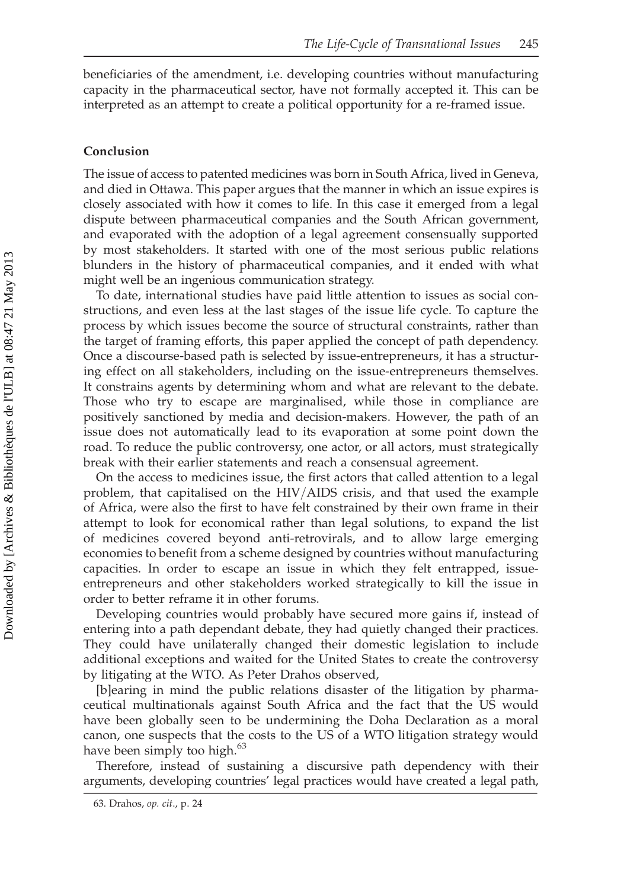beneficiaries of the amendment, i.e. developing countries without manufacturing capacity in the pharmaceutical sector, have not formally accepted it. This can be interpreted as an attempt to create a political opportunity for a re-framed issue.

#### Conclusion

The issue of access to patented medicines was born in South Africa, lived in Geneva, and died in Ottawa. This paper argues that the manner in which an issue expires is closely associated with how it comes to life. In this case it emerged from a legal dispute between pharmaceutical companies and the South African government, and evaporated with the adoption of a legal agreement consensually supported by most stakeholders. It started with one of the most serious public relations blunders in the history of pharmaceutical companies, and it ended with what might well be an ingenious communication strategy.

To date, international studies have paid little attention to issues as social constructions, and even less at the last stages of the issue life cycle. To capture the process by which issues become the source of structural constraints, rather than the target of framing efforts, this paper applied the concept of path dependency. Once a discourse-based path is selected by issue-entrepreneurs, it has a structuring effect on all stakeholders, including on the issue-entrepreneurs themselves. It constrains agents by determining whom and what are relevant to the debate. Those who try to escape are marginalised, while those in compliance are positively sanctioned by media and decision-makers. However, the path of an issue does not automatically lead to its evaporation at some point down the road. To reduce the public controversy, one actor, or all actors, must strategically break with their earlier statements and reach a consensual agreement.

On the access to medicines issue, the first actors that called attention to a legal problem, that capitalised on the HIV/AIDS crisis, and that used the example of Africa, were also the first to have felt constrained by their own frame in their attempt to look for economical rather than legal solutions, to expand the list of medicines covered beyond anti-retrovirals, and to allow large emerging economies to benefit from a scheme designed by countries without manufacturing capacities. In order to escape an issue in which they felt entrapped, issueentrepreneurs and other stakeholders worked strategically to kill the issue in order to better reframe it in other forums.

Developing countries would probably have secured more gains if, instead of entering into a path dependant debate, they had quietly changed their practices. They could have unilaterally changed their domestic legislation to include additional exceptions and waited for the United States to create the controversy by litigating at the WTO. As Peter Drahos observed,

[b]earing in mind the public relations disaster of the litigation by pharmaceutical multinationals against South Africa and the fact that the US would have been globally seen to be undermining the Doha Declaration as a moral canon, one suspects that the costs to the US of a WTO litigation strategy would have been simply too high.<sup>63</sup>

Therefore, instead of sustaining a discursive path dependency with their arguments, developing countries' legal practices would have created a legal path,

<sup>63.</sup> Drahos, *op. cit*., p. 24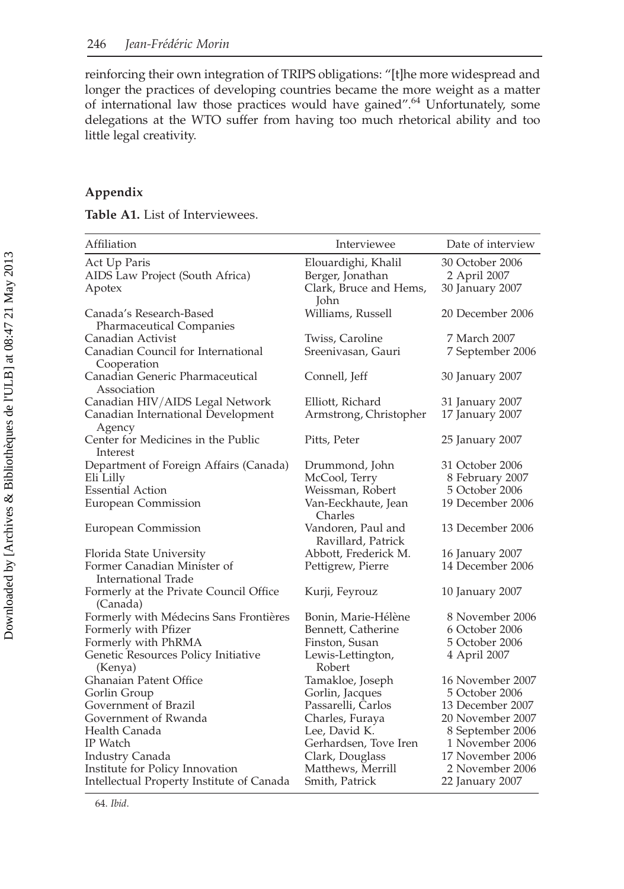reinforcing their own integration of TRIPS obligations: "[t]he more widespread and longer the practices of developing countries became the more weight as a matter of international law those practices would have gained".<sup>64</sup> Unfortunately, some delegations at the WTO suffer from having too much rhetorical ability and too little legal creativity.

### Appendix

Table A1. List of Interviewees.

| Affiliation                                        | Interviewee                              | Date of interview |
|----------------------------------------------------|------------------------------------------|-------------------|
| Act Up Paris                                       | Elouardighi, Khalil                      | 30 October 2006   |
| AIDS Law Project (South Africa)                    | Berger, Jonathan                         | 2 April 2007      |
| Apotex                                             | Clark, Bruce and Hems,<br>John           | 30 January 2007   |
| Canada's Research-Based                            | Williams, Russell                        | 20 December 2006  |
| Pharmaceutical Companies                           |                                          |                   |
| Canadian Activist                                  | Twiss, Caroline                          | 7 March 2007      |
| Canadian Council for International<br>Cooperation  | Sreenivasan, Gauri                       | 7 September 2006  |
| Canadian Generic Pharmaceutical<br>Association     | Connell, Jeff                            | 30 January 2007   |
| Canadian HIV/AIDS Legal Network                    | Elliott, Richard                         | 31 January 2007   |
| Canadian International Development<br>Agency       | Armstrong, Christopher                   | 17 January 2007   |
| Center for Medicines in the Public<br>Interest     | Pitts, Peter                             | 25 January 2007   |
| Department of Foreign Affairs (Canada)             | Drummond, John                           | 31 October 2006   |
| Eli Lilly                                          | McCool, Terry                            | 8 February 2007   |
| <b>Essential Action</b>                            | Weissman, Robert                         | 5 October 2006    |
| European Commission                                | Van-Eeckhaute, Jean<br>Charles           | 19 December 2006  |
| European Commission                                | Vandoren, Paul and<br>Ravillard, Patrick | 13 December 2006  |
| Florida State University                           | Abbott, Frederick M.                     | 16 January 2007   |
| Former Canadian Minister of                        | Pettigrew, Pierre                        | 14 December 2006  |
| International Trade                                |                                          |                   |
| Formerly at the Private Council Office<br>(Canada) | Kurji, Feyrouz                           | 10 January 2007   |
| Formerly with Médecins Sans Frontières             | Bonin, Marie-Hélène                      | 8 November 2006   |
| Formerly with Pfizer                               | Bennett, Catherine                       | 6 October 2006    |
| Formerly with PhRMA                                | Finston, Susan                           | 5 October 2006    |
| Genetic Resources Policy Initiative<br>(Kenya)     | Lewis-Lettington,<br>Robert              | 4 April 2007      |
| Ghanaian Patent Office                             | Tamakloe, Joseph                         | 16 November 2007  |
| Gorlin Group                                       | Gorlin, Jacques                          | 5 October 2006    |
| Government of Brazil                               | Passarelli, Carlos                       | 13 December 2007  |
| Government of Rwanda                               | Charles, Furaya                          | 20 November 2007  |
| Health Canada                                      | Lee, David K.                            | 8 September 2006  |
| IP Watch                                           | Gerhardsen, Tove Iren                    | 1 November 2006   |
| Industry Canada                                    | Clark, Douglass                          | 17 November 2006  |
| Institute for Policy Innovation                    | Matthews, Merrill                        | 2 November 2006   |
| Intellectual Property Institute of Canada          | Smith, Patrick                           | 22 January 2007   |